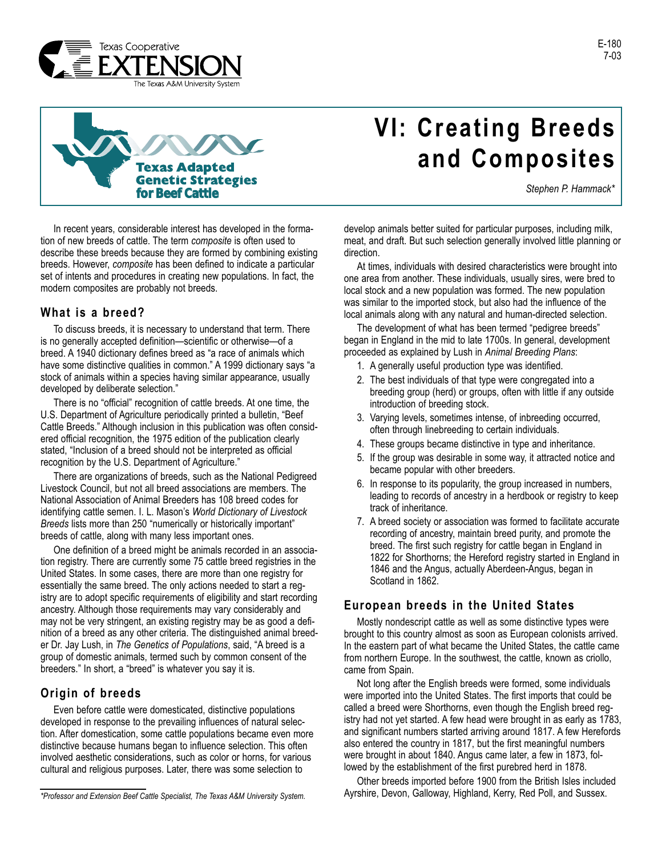



In recent years, considerable interest has developed in the formation of new breeds of cattle. The term *composite* is often used to describe these breeds because they are formed by combining existing breeds. However, *composite* has been defined to indicate a particular set of intents and procedures in creating new populations. In fact, the modern composites are probably not breeds.

#### **What is a breed?**

To discuss breeds, it is necessary to understand that term. There is no generally accepted definition—scientific or otherwise—of a breed. A 1940 dictionary defines breed as "a race of animals which have some distinctive qualities in common." A 1999 dictionary says "a stock of animals within a species having similar appearance, usually developed by deliberate selection."

There is no "official" recognition of cattle breeds. At one time, the U.S. Department of Agriculture periodically printed a bulletin, "Beef Cattle Breeds." Although inclusion in this publication was often considered official recognition, the 1975 edition of the publication clearly stated, "Inclusion of a breed should not be interpreted as official recognition by the U.S. Department of Agriculture."

There are organizations of breeds, such as the National Pedigreed Livestock Council, but not all breed associations are members. The National Association of Animal Breeders has 108 breed codes for identifying cattle semen. I. L. Mason's *World Dictionary of Livestock Breeds* lists more than 250 "numerically or historically important" breeds of cattle, along with many less important ones.

One definition of a breed might be animals recorded in an association registry. There are currently some 75 cattle breed registries in the United States. In some cases, there are more than one registry for essentially the same breed. The only actions needed to start a registry are to adopt specific requirements of eligibility and start recording ancestry. Although those requirements may vary considerably and may not be very stringent, an existing registry may be as good a definition of a breed as any other criteria. The distinguished animal breeder Dr. Jay Lush, in *The Genetics of Populations*, said, "A breed is a group of domestic animals, termed such by common consent of the breeders." In short, a "breed" is whatever you say it is.

## **Origin of breeds**

Even before cattle were domesticated, distinctive populations developed in response to the prevailing influences of natural selection. After domestication, some cattle populations became even more distinctive because humans began to influence selection. This often involved aesthetic considerations, such as color or horns, for various cultural and religious purposes. Later, there was some selection to

# **VI: Creating Breeds and Composites**

*Stephen P. Hammack\**

develop animals better suited for particular purposes, including milk, meat, and draft. But such selection generally involved little planning or direction.

At times, individuals with desired characteristics were brought into one area from another. These individuals, usually sires, were bred to local stock and a new population was formed. The new population was similar to the imported stock, but also had the influence of the local animals along with any natural and human-directed selection.

The development of what has been termed "pedigree breeds" began in England in the mid to late 1700s. In general, development proceeded as explained by Lush in *Animal Breeding Plans*:

- 1. A generally useful production type was identified.
- 2. The best individuals of that type were congregated into a breeding group (herd) or groups, often with little if any outside introduction of breeding stock.
- 3. Varying levels, sometimes intense, of inbreeding occurred, often through linebreeding to certain individuals.
- 4. These groups became distinctive in type and inheritance.
- 5. If the group was desirable in some way, it attracted notice and became popular with other breeders.
- 6. In response to its popularity, the group increased in numbers, leading to records of ancestry in a herdbook or registry to keep track of inheritance.
- 7. A breed society or association was formed to facilitate accurate recording of ancestry, maintain breed purity, and promote the breed. The first such registry for cattle began in England in 1822 for Shorthorns; the Hereford registry started in England in 1846 and the Angus, actually Aberdeen-Angus, began in Scotland in 1862.

#### **European breeds in the United States**

Mostly nondescript cattle as well as some distinctive types were brought to this country almost as soon as European colonists arrived. In the eastern part of what became the United States, the cattle came from northern Europe. In the southwest, the cattle, known as criollo, came from Spain.

Not long after the English breeds were formed, some individuals were imported into the United States. The first imports that could be called a breed were Shorthorns, even though the English breed registry had not yet started. A few head were brought in as early as 1783, and significant numbers started arriving around 1817. A few Herefords also entered the country in 1817, but the first meaningful numbers were brought in about 1840. Angus came later, a few in 1873, followed by the establishment of the first purebred herd in 1878.

Other breeds imported before 1900 from the British Isles included Ayrshire, Devon, Galloway, Highland, Kerry, Red Poll, and Sussex. *\*Professor and Extension Beef Cattle Specialist, The Texas A&M University System.*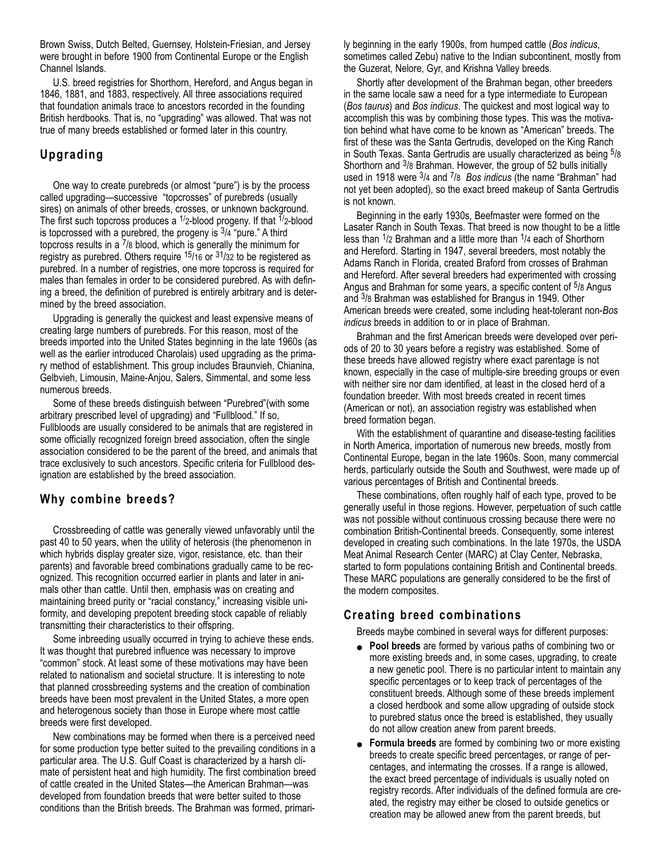Brown Swiss, Dutch Belted, Guernsey, Holstein-Friesian, and Jersey were brought in before 1900 from Continental Europe or the English Channel Islands.

U.S. breed registries for Shorthorn, Hereford, and Angus began in 1846, 1881, and 1883, respectively. All three associations required that foundation animals trace to ancestors recorded in the founding British herdbooks. That is, no "upgrading" was allowed. That was not true of many breeds established or formed later in this country.

## **Upgrading**

One way to create purebreds (or almost "pure") is by the process called upgrading—successive "topcrosses" of purebreds (usually sires) on animals of other breeds, crosses, or unknown background. The first such topcross produces a  $\frac{1}{2}$ -blood progeny. If that  $\frac{1}{2}$ -blood is topcrossed with a purebred, the progeny is  $3/4$  "pure." A third topcross results in a 7/8 blood, which is generally the minimum for registry as purebred. Others require  $15/16$  or  $31/32$  to be registered as purebred. In a number of registries, one more topcross is required for males than females in order to be considered purebred. As with defining a breed, the definition of purebred is entirely arbitrary and is determined by the breed association.

Upgrading is generally the quickest and least expensive means of creating large numbers of purebreds. For this reason, most of the breeds imported into the United States beginning in the late 1960s (as well as the earlier introduced Charolais) used upgrading as the primary method of establishment. This group includes Braunvieh, Chianina, Gelbvieh, Limousin, Maine-Anjou, Salers, Simmental, and some less numerous breeds.

Some of these breeds distinguish between "Purebred"(with some arbitrary prescribed level of upgrading) and "Fullblood." If so, Fullbloods are usually considered to be animals that are registered in some officially recognized foreign breed association, often the single association considered to be the parent of the breed, and animals that trace exclusively to such ancestors. Specific criteria for Fullblood designation are established by the breed association.

## **Why combine breeds?**

Crossbreeding of cattle was generally viewed unfavorably until the past 40 to 50 years, when the utility of heterosis (the phenomenon in which hybrids display greater size, vigor, resistance, etc. than their parents) and favorable breed combinations gradually came to be recognized. This recognition occurred earlier in plants and later in animals other than cattle. Until then, emphasis was on creating and maintaining breed purity or "racial constancy," increasing visible uniformity, and developing prepotent breeding stock capable of reliably transmitting their characteristics to their offspring.

Some inbreeding usually occurred in trying to achieve these ends. It was thought that purebred influence was necessary to improve "common" stock. At least some of these motivations may have been related to nationalism and societal structure. It is interesting to note that planned crossbreeding systems and the creation of combination breeds have been most prevalent in the United States, a more open and heterogenous society than those in Europe where most cattle breeds were first developed.

New combinations may be formed when there is a perceived need for some production type better suited to the prevailing conditions in a particular area. The U.S. Gulf Coast is characterized by a harsh climate of persistent heat and high humidity. The first combination breed of cattle created in the United States—the American Brahman—was developed from foundation breeds that were better suited to those conditions than the British breeds. The Brahman was formed, primarily beginning in the early 1900s, from humped cattle (*Bos indicus*, sometimes called Zebu) native to the Indian subcontinent, mostly from the Guzerat, Nelore, Gyr, and Krishna Valley breeds.

Shortly after development of the Brahman began, other breeders in the same locale saw a need for a type intermediate to European (*Bos taurus*) and *Bos indicus*. The quickest and most logical way to accomplish this was by combining those types. This was the motivation behind what have come to be known as "American" breeds. The first of these was the Santa Gertrudis, developed on the King Ranch in South Texas. Santa Gertrudis are usually characterized as being 5/8 Shorthorn and 3/8 Brahman. However, the group of 52 bulls initially used in 1918 were 3/4 and 7/8 *Bos indicus* (the name "Brahman" had not yet been adopted), so the exact breed makeup of Santa Gertrudis is not known.

Beginning in the early 1930s, Beefmaster were formed on the Lasater Ranch in South Texas. That breed is now thought to be a little less than 1/2 Brahman and a little more than 1/4 each of Shorthorn and Hereford. Starting in 1947, several breeders, most notably the Adams Ranch in Florida, created Braford from crosses of Brahman and Hereford. After several breeders had experimented with crossing Angus and Brahman for some years, a specific content of <sup>5</sup>/8 Angus and 3/8 Brahman was established for Brangus in 1949. Other American breeds were created, some including heat-tolerant non-*Bos indicus* breeds in addition to or in place of Brahman.

Brahman and the first American breeds were developed over periods of 20 to 30 years before a registry was established. Some of these breeds have allowed registry where exact parentage is not known, especially in the case of multiple-sire breeding groups or even with neither sire nor dam identified, at least in the closed herd of a foundation breeder. With most breeds created in recent times (American or not), an association registry was established when breed formation began.

With the establishment of quarantine and disease-testing facilities in North America, importation of numerous new breeds, mostly from Continental Europe, began in the late 1960s. Soon, many commercial herds, particularly outside the South and Southwest, were made up of various percentages of British and Continental breeds.

These combinations, often roughly half of each type, proved to be generally useful in those regions. However, perpetuation of such cattle was not possible without continuous crossing because there were no combination British-Continental breeds. Consequently, some interest developed in creating such combinations. In the late 1970s, the USDA Meat Animal Research Center (MARC) at Clay Center, Nebraska, started to form populations containing British and Continental breeds. These MARC populations are generally considered to be the first of the modern composites.

## **Creating breed combinations**

Breeds maybe combined in several ways for different purposes:

- **Pool breeds** are formed by various paths of combining two or more existing breeds and, in some cases, upgrading, to create a new genetic pool. There is no particular intent to maintain any specific percentages or to keep track of percentages of the constituent breeds. Although some of these breeds implement a closed herdbook and some allow upgrading of outside stock to purebred status once the breed is established, they usually do not allow creation anew from parent breeds.
- **Formula breeds** are formed by combining two or more existing breeds to create specific breed percentages, or range of percentages, and intermating the crosses. If a range is allowed, the exact breed percentage of individuals is usually noted on registry records. After individuals of the defined formula are created, the registry may either be closed to outside genetics or creation may be allowed anew from the parent breeds, but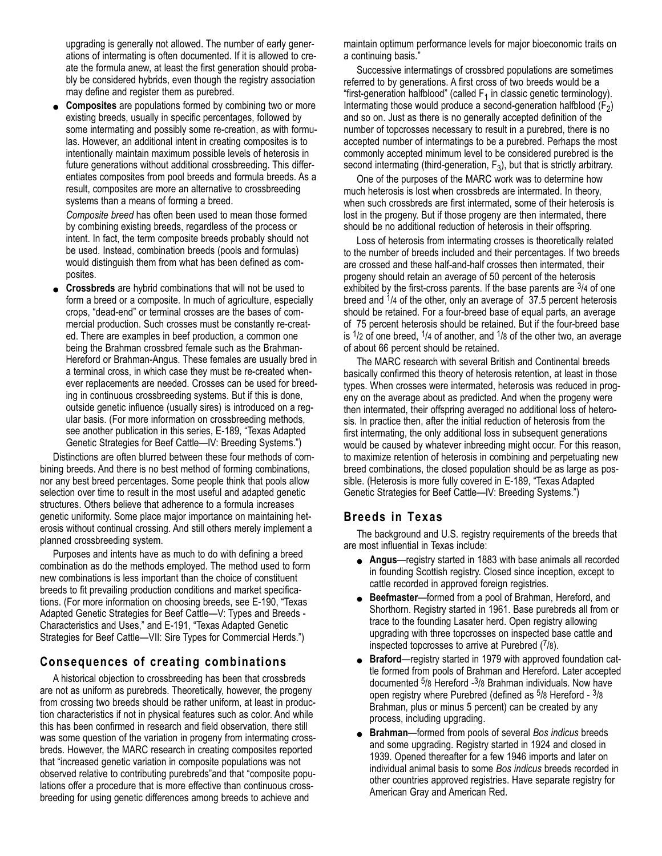upgrading is generally not allowed. The number of early generations of intermating is often documented. If it is allowed to create the formula anew, at least the first generation should probably be considered hybrids, even though the registry association may define and register them as purebred.

**Composites** are populations formed by combining two or more existing breeds, usually in specific percentages, followed by some intermating and possibly some re-creation, as with formulas. However, an additional intent in creating composites is to intentionally maintain maximum possible levels of heterosis in future generations without additional crossbreeding. This differentiates composites from pool breeds and formula breeds. As a result, composites are more an alternative to crossbreeding systems than a means of forming a breed.

*Composite breed* has often been used to mean those formed by combining existing breeds, regardless of the process or intent. In fact, the term composite breeds probably should not be used. Instead, combination breeds (pools and formulas) would distinguish them from what has been defined as composites.

**Crossbreds** are hybrid combinations that will not be used to form a breed or a composite. In much of agriculture, especially crops, "dead-end" or terminal crosses are the bases of commercial production. Such crosses must be constantly re-created. There are examples in beef production, a common one being the Brahman crossbred female such as the Brahman-Hereford or Brahman-Angus. These females are usually bred in a terminal cross, in which case they must be re-created whenever replacements are needed. Crosses can be used for breeding in continuous crossbreeding systems. But if this is done, outside genetic influence (usually sires) is introduced on a regular basis. (For more information on crossbreeding methods, see another publication in this series, E-189, "Texas Adapted Genetic Strategies for Beef Cattle—IV: Breeding Systems.")

Distinctions are often blurred between these four methods of combining breeds. And there is no best method of forming combinations, nor any best breed percentages. Some people think that pools allow selection over time to result in the most useful and adapted genetic structures. Others believe that adherence to a formula increases genetic uniformity. Some place major importance on maintaining heterosis without continual crossing. And still others merely implement a planned crossbreeding system.

Purposes and intents have as much to do with defining a breed combination as do the methods employed. The method used to form new combinations is less important than the choice of constituent breeds to fit prevailing production conditions and market specifications. (For more information on choosing breeds, see E-190, "Texas Adapted Genetic Strategies for Beef Cattle—V: Types and Breeds - Characteristics and Uses," and E-191, "Texas Adapted Genetic Strategies for Beef Cattle—VII: Sire Types for Commercial Herds.")

## **Consequences of creating combinations**

A historical objection to crossbreeding has been that crossbreds are not as uniform as purebreds. Theoretically, however, the progeny from crossing two breeds should be rather uniform, at least in production characteristics if not in physical features such as color. And while this has been confirmed in research and field observation, there still was some question of the variation in progeny from intermating crossbreds. However, the MARC research in creating composites reported that "increased genetic variation in composite populations was not observed relative to contributing purebreds"and that "composite populations offer a procedure that is more effective than continuous crossbreeding for using genetic differences among breeds to achieve and

maintain optimum performance levels for major bioeconomic traits on a continuing basis."

Successive intermatings of crossbred populations are sometimes referred to by generations. A first cross of two breeds would be a "first-generation halfblood" (called  $F_1$  in classic genetic terminology). Intermating those would produce a second-generation halfblood  $(F_2)$ and so on. Just as there is no generally accepted definition of the number of topcrosses necessary to result in a purebred, there is no accepted number of intermatings to be a purebred. Perhaps the most commonly accepted minimum level to be considered purebred is the second intermating (third-generation,  $F_3$ ), but that is strictly arbitrary.

One of the purposes of the MARC work was to determine how much heterosis is lost when crossbreds are intermated. In theory, when such crossbreds are first intermated, some of their heterosis is lost in the progeny. But if those progeny are then intermated, there should be no additional reduction of heterosis in their offspring.

Loss of heterosis from intermating crosses is theoretically related to the number of breeds included and their percentages. If two breeds are crossed and these half-and-half crosses then intermated, their progeny should retain an average of 50 percent of the heterosis exhibited by the first-cross parents. If the base parents are  $\frac{3}{4}$  of one breed and  $1/4$  of the other, only an average of 37.5 percent heterosis should be retained. For a four-breed base of equal parts, an average of 75 percent heterosis should be retained. But if the four-breed base is  $1/2$  of one breed,  $1/4$  of another, and  $1/8$  of the other two, an average of about 66 percent should be retained.

The MARC research with several British and Continental breeds basically confirmed this theory of heterosis retention, at least in those types. When crosses were intermated, heterosis was reduced in progeny on the average about as predicted. And when the progeny were then intermated, their offspring averaged no additional loss of heterosis. In practice then, after the initial reduction of heterosis from the first intermating, the only additional loss in subsequent generations would be caused by whatever inbreeding might occur. For this reason, to maximize retention of heterosis in combining and perpetuating new breed combinations, the closed population should be as large as possible. (Heterosis is more fully covered in E-189, "Texas Adapted Genetic Strategies for Beef Cattle—IV: Breeding Systems.")

#### **Breeds in Texas**

The background and U.S. registry requirements of the breeds that are most influential in Texas include:

- **Angus**—registry started in 1883 with base animals all recorded in founding Scottish registry. Closed since inception, except to cattle recorded in approved foreign registries.
- **Beefmaster**—formed from a pool of Brahman, Hereford, and Shorthorn. Registry started in 1961. Base purebreds all from or trace to the founding Lasater herd. Open registry allowing upgrading with three topcrosses on inspected base cattle and inspected topcrosses to arrive at Purebred (7/8).
- **Braford**—registry started in 1979 with approved foundation cattle formed from pools of Brahman and Hereford. Later accepted documented 5/8 Hereford -3/8 Brahman individuals. Now have open registry where Purebred (defined as 5/8 Hereford - 3/8 Brahman, plus or minus 5 percent) can be created by any process, including upgrading.
- **Brahman**—formed from pools of several *Bos indicus* breeds and some upgrading. Registry started in 1924 and closed in 1939. Opened thereafter for a few 1946 imports and later on individual animal basis to some *Bos indicus* breeds recorded in other countries approved registries. Have separate registry for American Gray and American Red.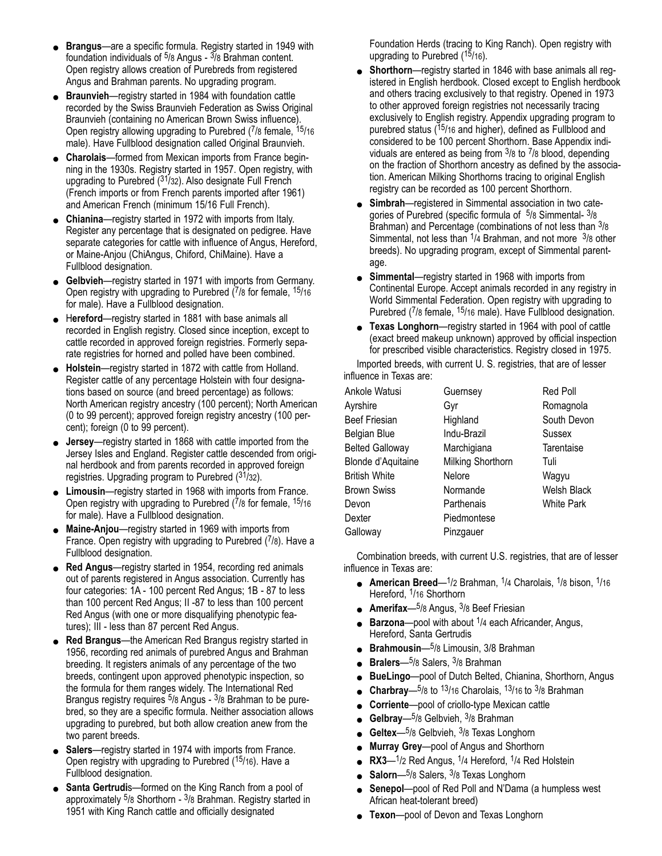- **Brangus**—are a specific formula. Registry started in 1949 with foundation individuals of  $5/8$  Angus -  $3/8$  Brahman content. Open registry allows creation of Purebreds from registered Angus and Brahman parents. No upgrading program.
- **Braunvieh**—registry started in 1984 with foundation cattle recorded by the Swiss Braunvieh Federation as Swiss Original Braunvieh (containing no American Brown Swiss influence). Open registry allowing upgrading to Purebred (7/8 female, 15/16 male). Have Fullblood designation called Original Braunvieh.
- **Charolais**—formed from Mexican imports from France beginning in the 1930s. Registry started in 1957. Open registry, with upgrading to Purebred (31/32). Also designate Full French (French imports or from French parents imported after 1961) and American French (minimum 15/16 Full French).
- **Chianina**—registry started in 1972 with imports from Italy. Register any percentage that is designated on pedigree. Have separate categories for cattle with influence of Angus, Hereford, or Maine-Anjou (ChiAngus, Chiford, ChiMaine). Have a Fullblood designation.
- **Gelbvieh**—registry started in 1971 with imports from Germany. Open registry with upgrading to Purebred (7/8 for female, 15/16 for male). Have a Fullblood designation.
- H**ereford**—registry started in 1881 with base animals all recorded in English registry. Closed since inception, except to cattle recorded in approved foreign registries. Formerly separate registries for horned and polled have been combined.
- **Holstein**—registry started in 1872 with cattle from Holland. Register cattle of any percentage Holstein with four designations based on source (and breed percentage) as follows: North American registry ancestry (100 percent); North American (0 to 99 percent); approved foreign registry ancestry (100 percent); foreign (0 to 99 percent).
- **Jersey**—registry started in 1868 with cattle imported from the Jersey Isles and England. Register cattle descended from original herdbook and from parents recorded in approved foreign registries. Upgrading program to Purebred  $(31/32)$ .
- **Limousin**—registry started in 1968 with imports from France. Open registry with upgrading to Purebred  $(7/8)$  for female,  $15/16$ for male). Have a Fullblood designation.
- **Maine-Anjou**—registry started in 1969 with imports from France. Open registry with upgrading to Purebred  $(7/8)$ . Have a Fullblood designation.
- **Red Angus**—registry started in 1954, recording red animals out of parents registered in Angus association. Currently has four categories: 1A - 100 percent Red Angus; 1B - 87 to less than 100 percent Red Angus; II -87 to less than 100 percent Red Angus (with one or more disqualifying phenotypic features); III - less than 87 percent Red Angus.
- **Red Brangus**—the American Red Brangus registry started in 1956, recording red animals of purebred Angus and Brahman breeding. It registers animals of any percentage of the two breeds, contingent upon approved phenotypic inspection, so the formula for them ranges widely. The International Red Brangus registry requires <sup>5</sup>/8 Angus - <sup>3</sup>/8 Brahman to be purebred, so they are a specific formula. Neither association allows upgrading to purebred, but both allow creation anew from the two parent breeds.
- **Salers**—registry started in 1974 with imports from France. Open registry with upgrading to Purebred (15/16). Have a Fullblood designation.
- **Santa Gertrudis**—formed on the King Ranch from a pool of approximately <sup>5</sup>/8 Shorthorn - <sup>3</sup>/8 Brahman. Registry started in 1951 with King Ranch cattle and officially designated

Foundation Herds (tracing to King Ranch). Open registry with upgrading to Purebred (15/16).

- **Shorthorn**—registry started in 1846 with base animals all registered in English herdbook. Closed except to English herdbook and others tracing exclusively to that registry. Opened in 1973 to other approved foreign registries not necessarily tracing exclusively to English registry. Appendix upgrading program to purebred status (<sup>15</sup>/16 and higher), defined as Fullblood and considered to be 100 percent Shorthorn. Base Appendix individuals are entered as being from  $3/8$  to  $7/8$  blood, depending on the fraction of Shorthorn ancestry as defined by the association. American Milking Shorthorns tracing to original English registry can be recorded as 100 percent Shorthorn.
- **Simbrah**—registered in Simmental association in two categories of Purebred (specific formula of 5/8 Simmental- 3/8 Brahman) and Percentage (combinations of not less than 3/8 Simmental, not less than  $\frac{1}{4}$  Brahman, and not more  $\frac{3}{8}$  other breeds). No upgrading program, except of Simmental parentage.
- **Simmental**—registry started in 1968 with imports from Continental Europe. Accept animals recorded in any registry in World Simmental Federation. Open registry with upgrading to Purebred (7/8 female, 15/16 male). Have Fullblood designation.
- **Texas Longhorn**—registry started in 1964 with pool of cattle (exact breed makeup unknown) approved by official inspection for prescribed visible characteristics. Registry closed in 1975.

Imported breeds, with current U. S. registries, that are of lesser influence in Texas are:

| Ankole Watusi          | Guernsey          | Red Poll          |
|------------------------|-------------------|-------------------|
| Ayrshire               | Gyr               | Romagnola         |
| <b>Beef Friesian</b>   | Highland          | South Devon       |
| Belgian Blue           | Indu-Brazil       | Sussex            |
| <b>Belted Galloway</b> | Marchigiana       | Tarentaise        |
| Blonde d'Aquitaine     | Milking Shorthorn | Tuli              |
| <b>British White</b>   | Nelore            | Wagyu             |
| <b>Brown Swiss</b>     | Normande          | Welsh Black       |
| Devon                  | Parthenais        | <b>White Park</b> |
| Dexter                 | Piedmontese       |                   |
| Galloway               | Pinzgauer         |                   |

Combination breeds, with current U.S. registries, that are of lesser influence in Texas are:

- **American Breed**—1/2 Brahman, 1/4 Charolais, 1/8 bison, 1/16 Hereford, <sup>1</sup>/16 Shorthorn
- **Amerifax**—5/8 Angus, 3/8 Beef Friesian
- **Barzona**—pool with about <sup>1</sup>/4 each Africander, Angus, Hereford, Santa Gertrudis
- **Brahmousin**—<sup>5</sup>/8 Limousin, 3/8 Brahman
- **Bralers**—<sup>5</sup>/8 Salers, <sup>3</sup>/8 Brahman
- **BueLingo**—pool of Dutch Belted, Chianina, Shorthorn, Angus
- **Charbray**— $5/8$  to  $13/16$  Charolais,  $13/16$  to  $3/8$  Brahman
- **Corriente**—pool of criollo-type Mexican cattle
- Gelbray<sup>-5/8</sup> Gelbvieh, <sup>3</sup>/8 Brahman
- Geltex-5/8 Gelbvieh, <sup>3</sup>/8 Texas Longhorn
- **Murray Grey**—pool of Angus and Shorthorn
- RX3-<sup>1</sup>/2 Red Angus, <sup>1</sup>/4 Hereford, <sup>1</sup>/4 Red Holstein
- **Salorn**—<sup>5</sup>/8 Salers, <sup>3</sup>/8 Texas Longhorn
- **Senepol**—pool of Red Poll and N'Dama (a humpless west African heat-tolerant breed)
- **Texon**—pool of Devon and Texas Longhorn